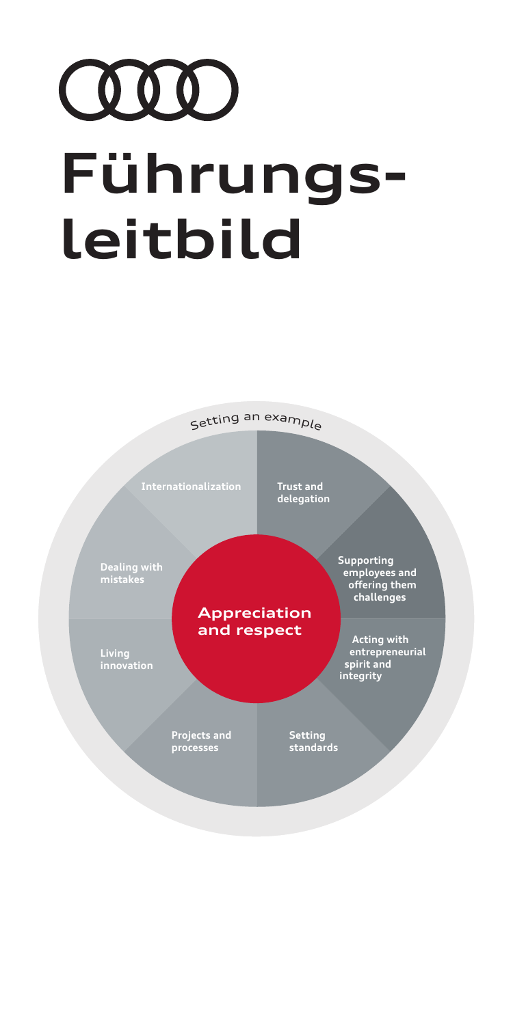# COOD **Führungsleitbild**